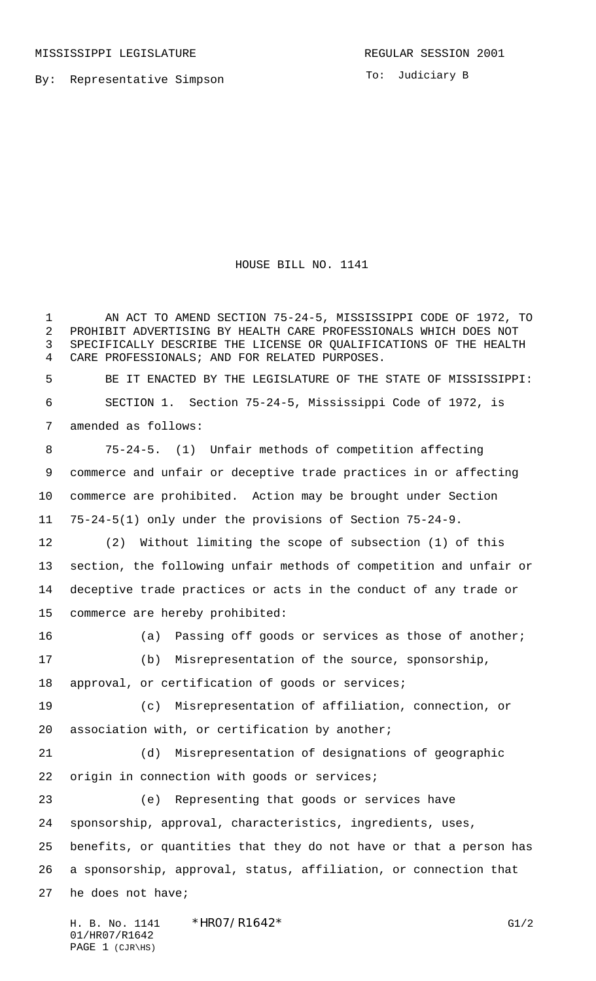By: Representative Simpson

To: Judiciary B

HOUSE BILL NO. 1141

 AN ACT TO AMEND SECTION 75-24-5, MISSISSIPPI CODE OF 1972, TO PROHIBIT ADVERTISING BY HEALTH CARE PROFESSIONALS WHICH DOES NOT SPECIFICALLY DESCRIBE THE LICENSE OR QUALIFICATIONS OF THE HEALTH CARE PROFESSIONALS; AND FOR RELATED PURPOSES. BE IT ENACTED BY THE LEGISLATURE OF THE STATE OF MISSISSIPPI: 6 SECTION 1. Section 75-24-5, Mississippi Code of 1972, is amended as follows: 75-24-5. (1) Unfair methods of competition affecting commerce and unfair or deceptive trade practices in or affecting commerce are prohibited. Action may be brought under Section 75-24-5(1) only under the provisions of Section 75-24-9. (2) Without limiting the scope of subsection (1) of this section, the following unfair methods of competition and unfair or deceptive trade practices or acts in the conduct of any trade or commerce are hereby prohibited: 16 (a) Passing off goods or services as those of another; (b) Misrepresentation of the source, sponsorship, approval, or certification of goods or services; (c) Misrepresentation of affiliation, connection, or association with, or certification by another; (d) Misrepresentation of designations of geographic 22 origin in connection with goods or services; (e) Representing that goods or services have sponsorship, approval, characteristics, ingredients, uses, benefits, or quantities that they do not have or that a person has a sponsorship, approval, status, affiliation, or connection that he does not have;

H. B. No. 1141 \* HRO7/R1642\* G1/2 01/HR07/R1642 PAGE 1 (CJR\HS)